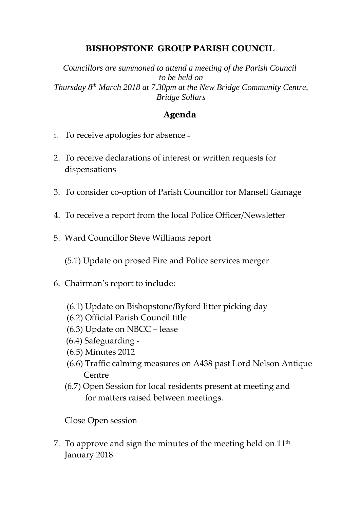## **BISHOPSTONE GROUP PARISH COUNCIL**

*Councillors are summoned to attend a meeting of the Parish Council to be held on Thursday 8 th March 2018 at 7.30pm at the New Bridge Community Centre, Bridge Sollars*

## **Agenda**

- 1. To receive apologies for absence –
- 2. To receive declarations of interest or written requests for dispensations
- 3. To consider co-option of Parish Councillor for Mansell Gamage
- 4. To receive a report from the local Police Officer/Newsletter
- 5. Ward Councillor Steve Williams report

(5.1) Update on prosed Fire and Police services merger

- 6. Chairman's report to include:
	- (6.1) Update on Bishopstone/Byford litter picking day
	- (6.2) Official Parish Council title
	- (6.3) Update on NBCC lease
	- (6.4) Safeguarding -
	- (6.5) Minutes 2012
	- (6.6) Traffic calming measures on A438 past Lord Nelson Antique Centre
	- (6.7) Open Session for local residents present at meeting and for matters raised between meetings.

Close Open session

7. To approve and sign the minutes of the meeting held on  $11<sup>th</sup>$ January 2018